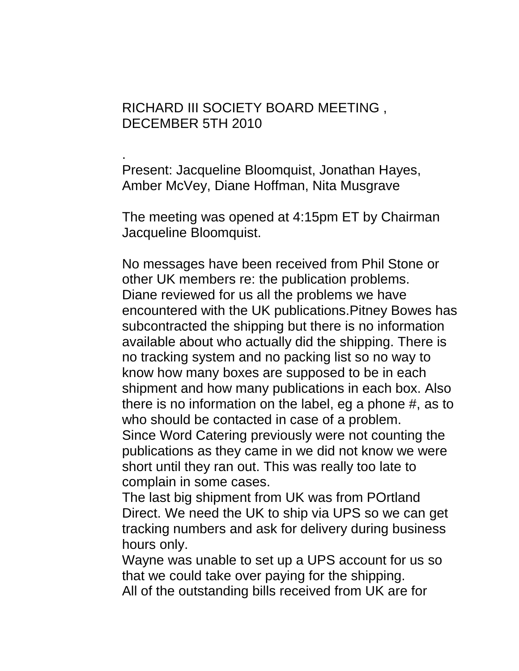## RICHARD III SOCIETY BOARD MEETING , DECEMBER 5TH 2010

. Present: Jacqueline Bloomquist, Jonathan Hayes, Amber McVey, Diane Hoffman, Nita Musgrave

The meeting was opened at 4:15pm ET by Chairman Jacqueline Bloomquist.

No messages have been received from Phil Stone or other UK members re: the publication problems. Diane reviewed for us all the problems we have encountered with the UK publications.Pitney Bowes has subcontracted the shipping but there is no information available about who actually did the shipping. There is no tracking system and no packing list so no way to know how many boxes are supposed to be in each shipment and how many publications in each box. Also there is no information on the label, eg a phone #, as to who should be contacted in case of a problem. Since Word Catering previously were not counting the publications as they came in we did not know we were short until they ran out. This was really too late to complain in some cases.

The last big shipment from UK was from POrtland Direct. We need the UK to ship via UPS so we can get tracking numbers and ask for delivery during business hours only.

Wayne was unable to set up a UPS account for us so that we could take over paying for the shipping. All of the outstanding bills received from UK are for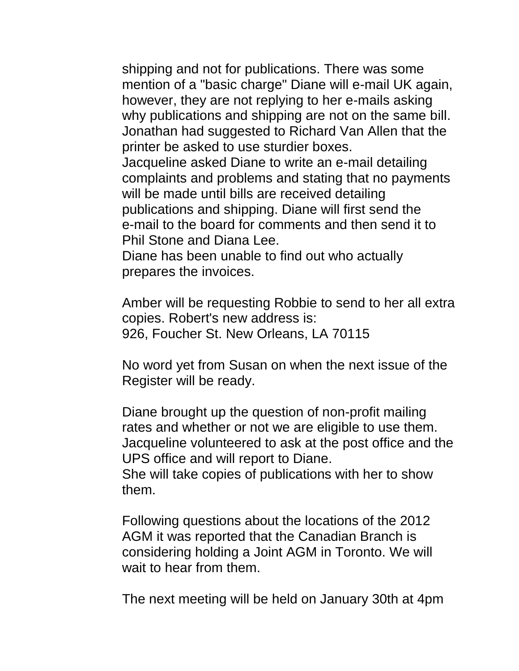shipping and not for publications. There was some mention of a "basic charge" Diane will e-mail UK again, however, they are not replying to her e-mails asking why publications and shipping are not on the same bill. Jonathan had suggested to Richard Van Allen that the printer be asked to use sturdier boxes.

Jacqueline asked Diane to write an e-mail detailing complaints and problems and stating that no payments will be made until bills are received detailing publications and shipping. Diane will first send the e-mail to the board for comments and then send it to Phil Stone and Diana Lee.

Diane has been unable to find out who actually prepares the invoices.

Amber will be requesting Robbie to send to her all extra copies. Robert's new address is: 926, Foucher St. New Orleans, LA 70115

No word yet from Susan on when the next issue of the Register will be ready.

Diane brought up the question of non-profit mailing rates and whether or not we are eligible to use them. Jacqueline volunteered to ask at the post office and the UPS office and will report to Diane.

She will take copies of publications with her to show them.

Following questions about the locations of the 2012 AGM it was reported that the Canadian Branch is considering holding a Joint AGM in Toronto. We will wait to hear from them.

The next meeting will be held on January 30th at 4pm